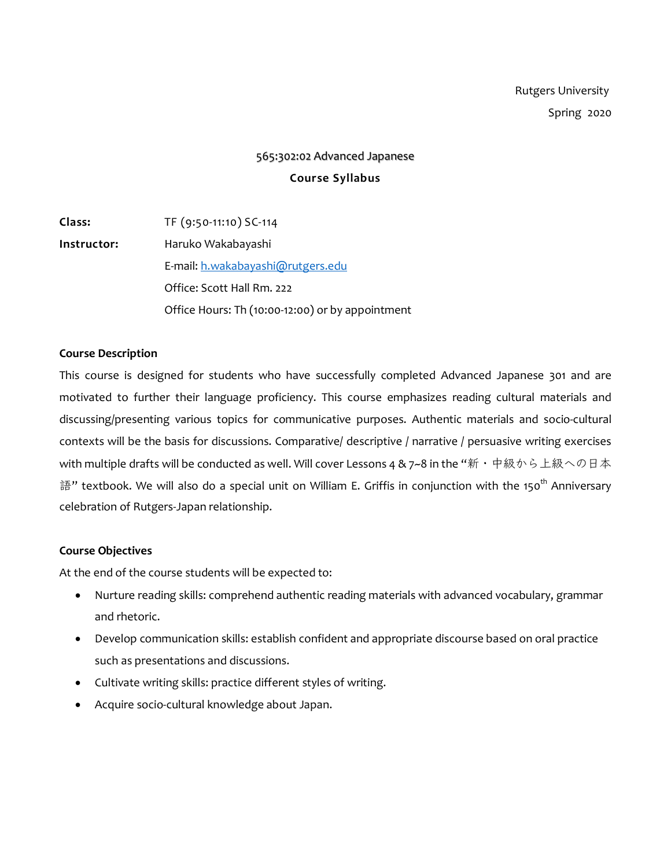# 565:302:02 Advanced Japanese **Course Syllabus**

**Class:** TF (9:50-11:10) SC-114 **Instructor:** Haruko Wakabayashi E-mail: h.wakabayashi@rutgers.edu Office: Scott Hall Rm. 222 Office Hours: Th (10:00-12:00) or by appointment

#### **Course Description**

This course is designed for students who have successfully completed Advanced Japanese 301 and are motivated to further their language proficiency. This course emphasizes reading cultural materials and discussing/presenting various topics for communicative purposes. Authentic materials and socio-cultural contexts will be the basis for discussions. Comparative/ descriptive / narrative / persuasive writing exercises with multiple drafts will be conducted as well. Will cover Lessons 4 & 7~8 in the "新・中級から上級への日本 語" textbook. We will also do a special unit on William E. Griffis in conjunction with the 150<sup>th</sup> Anniversary celebration of Rutgers-Japan relationship.

## **Course Objectives**

At the end of the course students will be expected to:

- Nurture reading skills: comprehend authentic reading materials with advanced vocabulary, grammar and rhetoric.
- Develop communication skills: establish confident and appropriate discourse based on oral practice such as presentations and discussions.
- Cultivate writing skills: practice different styles of writing.
- Acquire socio-cultural knowledge about Japan.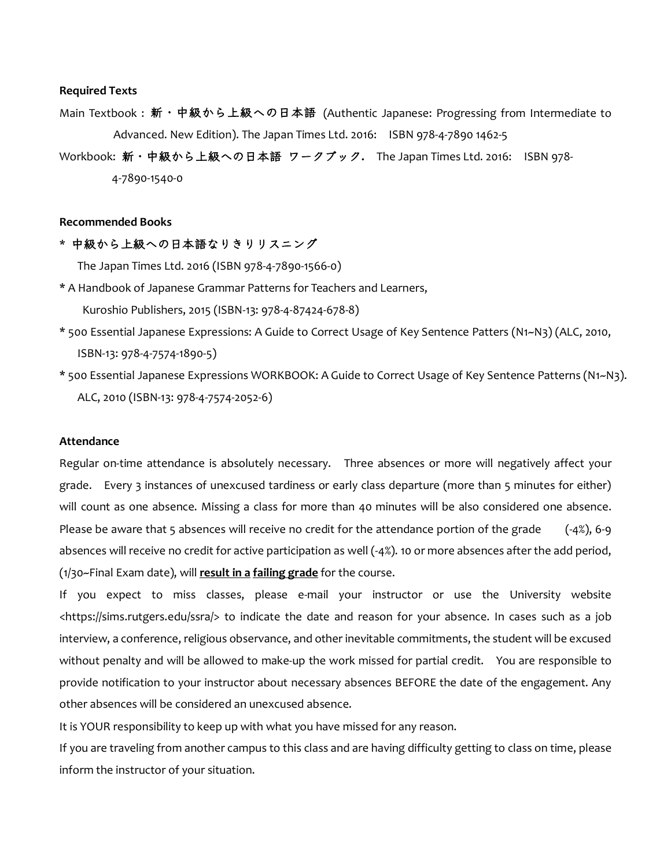#### **Required Texts**

- Main Textbook : 新・中級から上級への日本語 (Authentic Japanese: Progressing from Intermediate to Advanced. New Edition). The Japan Times Ltd. 2016: ISBN 978-4-7890 1462-5
- Workbook: 新・中級から上級への日本語 ワークブック**.** The Japan Times Ltd. 2016: ISBN 978- 4-7890-1540-0

#### **Recommended Books**

\* 中級から上級への日本語なりきりリスニング

The Japan Times Ltd. 2016 (ISBN 978-4-7890-1566-0)

- \* A Handbook of Japanese Grammar Patterns for Teachers and Learners, Kuroshio Publishers, 2015 (ISBN-13: 978-4-87424-678-8)
- \* 500 Essential Japanese Expressions: A Guide to Correct Usage of Key Sentence Patters (N1~N3) (ALC, 2010, ISBN-13: 978-4-7574-1890-5)
- \* 500 Essential Japanese Expressions WORKBOOK: A Guide to Correct Usage of Key Sentence Patterns (N1~N3). ALC, 2010 (ISBN-13: 978-4-7574-2052-6)

#### **Attendance**

Regular on-time attendance is absolutely necessary. Three absences or more will negatively affect your grade. Every 3 instances of unexcused tardiness or early class departure (more than 5 minutes for either) will count as one absence. Missing a class for more than 40 minutes will be also considered one absence. Please be aware that 5 absences will receive no credit for the attendance portion of the grade  $(-4)$ , 6-9 absences will receive no credit for active participation as well (-4%). 10 or more absences after the add period, (1/30~Final Exam date), will **result in a failing grade** for the course.

If you expect to miss classes, please e-mail your instructor or use the University website <https://sims.rutgers.edu/ssra/> to indicate the date and reason for your absence. In cases such as a job interview, a conference, religious observance, and other inevitable commitments, the student will be excused without penalty and will be allowed to make-up the work missed for partial credit. You are responsible to provide notification to your instructor about necessary absences BEFORE the date of the engagement. Any other absences will be considered an unexcused absence.

It is YOUR responsibility to keep up with what you have missed for any reason.

If you are traveling from another campus to this class and are having difficulty getting to class on time, please inform the instructor of your situation.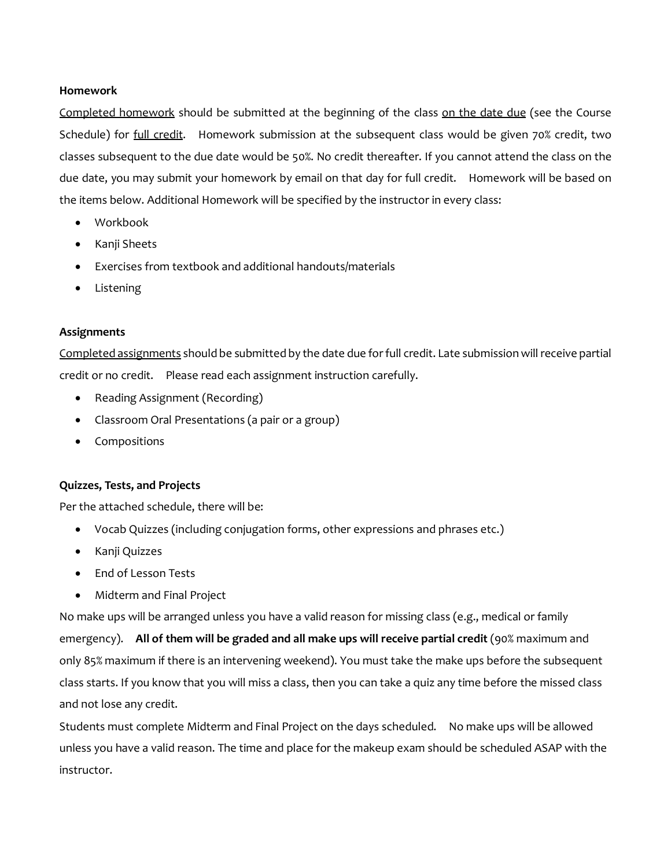## **Homework**

Completed homework should be submitted at the beginning of the class on the date due (see the Course Schedule) for *full credit*. Homework submission at the subsequent class would be given 70% credit, two classes subsequent to the due date would be 50%. No credit thereafter. If you cannot attend the class on the due date, you may submit your homework by email on that day for full credit. Homework will be based on the items below. Additional Homework will be specified by the instructor in every class:

- Workbook
- Kanji Sheets
- Exercises from textbook and additional handouts/materials
- Listening

## **Assignments**

Completed assignments should be submitted by the date due for full credit. Late submission will receive partial credit or no credit. Please read each assignment instruction carefully.

- Reading Assignment (Recording)
- Classroom Oral Presentations (a pair or a group)
- Compositions

## **Quizzes, Tests, and Projects**

Per the attached schedule, there will be:

- Vocab Quizzes (including conjugation forms, other expressions and phrases etc.)
- Kanji Quizzes
- End of Lesson Tests
- Midterm and Final Project

No make ups will be arranged unless you have a valid reason for missing class (e.g., medical or family emergency). **All of them will be graded and all make ups will receive partial credit** (90% maximum and only 85% maximum if there is an intervening weekend). You must take the make ups before the subsequent class starts. If you know that you will miss a class, then you can take a quiz any time before the missed class and not lose any credit.

Students must complete Midterm and Final Project on the days scheduled. No make ups will be allowed unless you have a valid reason. The time and place for the makeup exam should be scheduled ASAP with the instructor.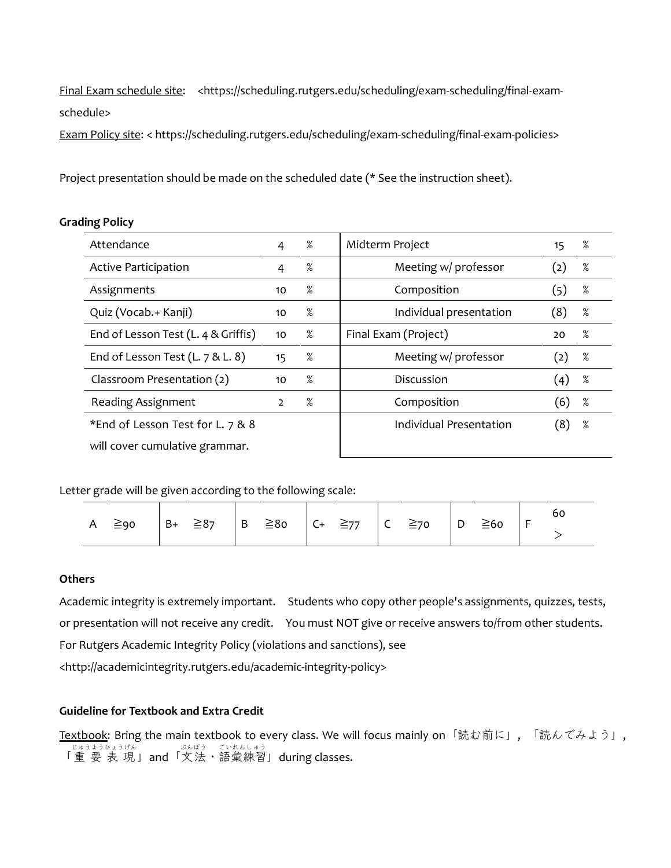Final Exam schedule site: <https://scheduling.rutgers.edu/scheduling/exam-scheduling/final-examschedule>

Exam Policy site: < https://scheduling.rutgers.edu/scheduling/exam-scheduling/final-exam-policies>

Project presentation should be made on the scheduled date (\* See the instruction sheet).

## **Grading Policy**

| Attendance                          | 4            | %    | Midterm Project         | 15  | %    |
|-------------------------------------|--------------|------|-------------------------|-----|------|
| Active Participation                | 4            | %    | Meeting w/ professor    | (2) | %    |
| Assignments                         | 10           | %    | Composition             | (5) | %    |
| Quiz (Vocab.+ Kanji)                | 10           | %    | Individual presentation | (8) | $\%$ |
| End of Lesson Test (L. 4 & Griffis) | 10           | %    | Final Exam (Project)    | 20  | $\%$ |
| End of Lesson Test $(L. 7 & L. 8)$  | 15           | %    | Meeting w/ professor    | (2) | %    |
| Classroom Presentation (2)          | 10           | $\%$ | Discussion              | (4) | %    |
| Reading Assignment                  | $\mathbf{2}$ | $\%$ | Composition             | (6) | $\%$ |
| *End of Lesson Test for L. 7 & 8    |              |      | Individual Presentation | (8) | $\%$ |
| will cover cumulative grammar.      |              |      |                         |     |      |

## Letter grade will be given according to the following scale:

| A $\geq$ 90 $\Big  B + \geq 87 \Big  B \geq 80 \Big  C + \geq 77 \Big  C \geq 70 \Big  D \geq 60 \Big  F$ |  |  |  |
|-----------------------------------------------------------------------------------------------------------|--|--|--|
|                                                                                                           |  |  |  |

## **Others**

Academic integrity is extremely important. Students who copy other people's assignments, quizzes, tests, or presentation will not receive any credit. You must NOT give or receive answers to/from other students. For Rutgers Academic Integrity Policy (violations and sanctions), see <http://academicintegrity.rutgers.edu/academic-integrity-policy>

## **Guideline for Textbook and Extra Credit**

Textbook: Bring the main textbook to every class. We will focus mainly on「読む前に」, 「読んでみよう」, <sub>じゅうようひょうげん ぶんぽう ごいれんしゅう</sub><br>「重 要 表 現 」and「文法・語彙練習」during classes.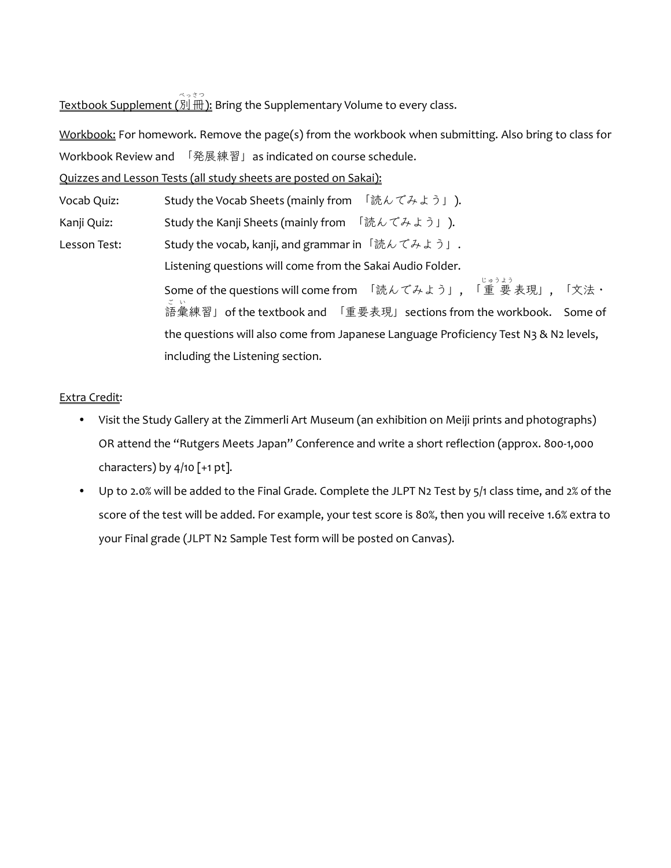、。。。。。。。。。。<br><u>Textbook Supplement (別冊</u> ): Bring the Supplementary Volume to every class.

Workbook: For homework. Remove the page(s) from the workbook when submitting. Also bring to class for Workbook Review and 「発展練習」as indicated on course schedule.

Quizzes and Lesson Tests (all study sheets are posted on Sakai):

Vocab Quiz: Study the Vocab Sheets (mainly from 「読んでみよう」). Kanji Quiz: Study the Kanji Sheets (mainly from 「読んでみよう」). Lesson Test: Study the vocab, kanji, and grammar in「読んでみよう」. Listening questions will come from the Sakai Audio Folder. Some of the questions will come from 「読んでみよう」, 「重 要 表現」, 「文法・ じゅうよう 語彙 練習」of the textbook and 「重要表現」sections from the workbook. Some of ご い the questions will also come from Japanese Language Proficiency Test N3 & N2 levels, including the Listening section.

## Extra Credit:

- Visit the Study Gallery at the Zimmerli Art Museum (an exhibition on Meiji prints and photographs) OR attend the "Rutgers Meets Japan" Conference and write a short reflection (approx. 800-1,000 characters) by  $4/10$  [+1 pt].
- Up to 2.0% will be added to the Final Grade. Complete the JLPT N2 Test by 5/1 class time, and 2% of the score of the test will be added. For example, your test score is 80%, then you will receive 1.6% extra to your Final grade (JLPT N2 Sample Test form will be posted on Canvas).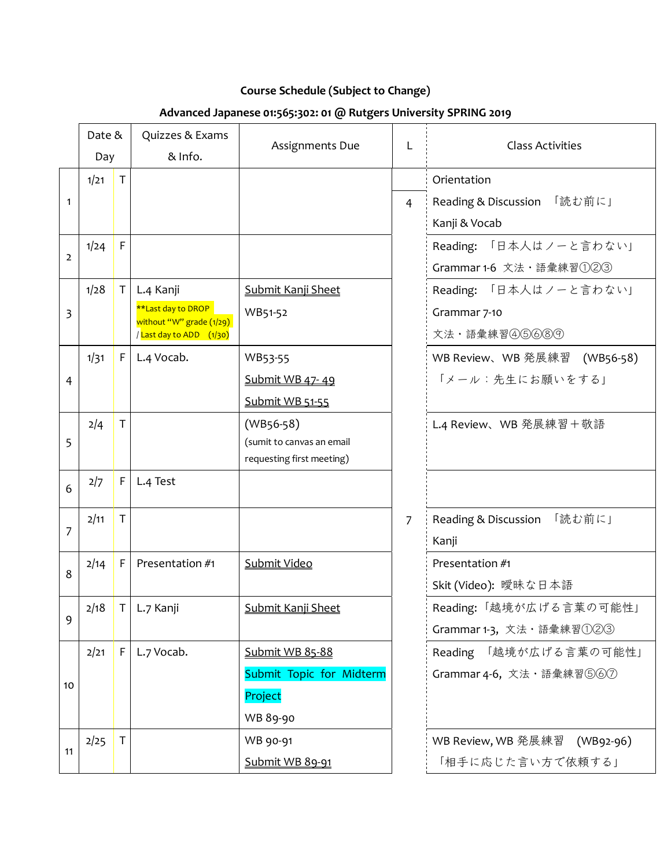## **Course Schedule (Subject to Change)**

## **Advanced Japanese 01:565:302: 01 @ Rutgers University SPRING 2019**

|                | Date &<br>Day |              | Quizzes & Exams<br>& Info.                     | Assignments Due           | L              | <b>Class Activities</b>      |
|----------------|---------------|--------------|------------------------------------------------|---------------------------|----------------|------------------------------|
|                | 1/21          | $\mathsf{T}$ |                                                |                           |                | Orientation                  |
| 1              |               |              |                                                |                           | $\overline{4}$ | Reading & Discussion 「読む前に」  |
|                |               |              |                                                |                           |                | Kanji & Vocab                |
| $\overline{2}$ | 1/24          | F            |                                                |                           |                | Reading: 「日本人はノーと言わない」       |
|                |               |              |                                                |                           |                | Grammar 1-6 文法·語彙練習①223      |
|                | 1/28          | T            | L.4 Kanji                                      | Submit Kanji Sheet        |                | Reading: 「日本人はノーと言わない」       |
| 3              |               |              | **Last day to DROP<br>without "W" grade (1/29) | WB51-52                   |                | Grammar 7-10                 |
|                |               |              | / Last day to ADD (1/30)                       |                           |                | 文法·語彙練習466689                |
|                | 1/31          | F            | L.4 Vocab.                                     | WB53-55                   |                | WB Review、WB 発展練習 (WB56-58)  |
| 4              |               |              |                                                | Submit WB 47-49           |                | 「メール:先生にお願いをする」              |
|                |               |              |                                                | Submit WB 51-55           |                |                              |
|                | 2/4           | T            |                                                | $(WB56-58)$               |                | L.4 Review、WB 発展練習+敬語        |
| 5              |               |              |                                                | (sumit to canvas an email |                |                              |
|                |               |              |                                                | requesting first meeting) |                |                              |
| 6              | 2/7           | F            | L.4 Test                                       |                           |                |                              |
|                | 2/11          | T            |                                                |                           | $\overline{7}$ | Reading & Discussion 「読む前に」  |
| 7              |               |              |                                                |                           |                | Kanji                        |
| 8              | 2/14          | F            | Presentation #1                                | Submit Video              |                | Presentation #1              |
|                |               |              |                                                |                           |                | Skit (Video): 曖昧な日本語         |
|                | 2/18          |              | $T$ L.7 Kanji                                  | Submit Kanji Sheet        |                | Reading:「越境が広げる言葉の可能性」       |
| 9              |               |              |                                                |                           |                | Grammar 1-3, 文法·語彙練習①223     |
|                | 2/21          | F            | L.7 Vocab.                                     | Submit WB 85-88           |                | Reading 「越境が広げる言葉の可能性」       |
|                |               |              |                                                | Submit Topic for Midterm  |                | Grammar 4-6, 文法 · 語彙練習⑤⑥⑦    |
| 10             |               |              |                                                | Project                   |                |                              |
|                |               |              |                                                | WB 89-90                  |                |                              |
|                | 2/25          | T            |                                                | WB 90-91                  |                | WB Review, WB 発展練習 (WB92-96) |
| 11             |               |              |                                                | Submit WB 89-91           |                | 「相手に応じた言い方で依頼する」             |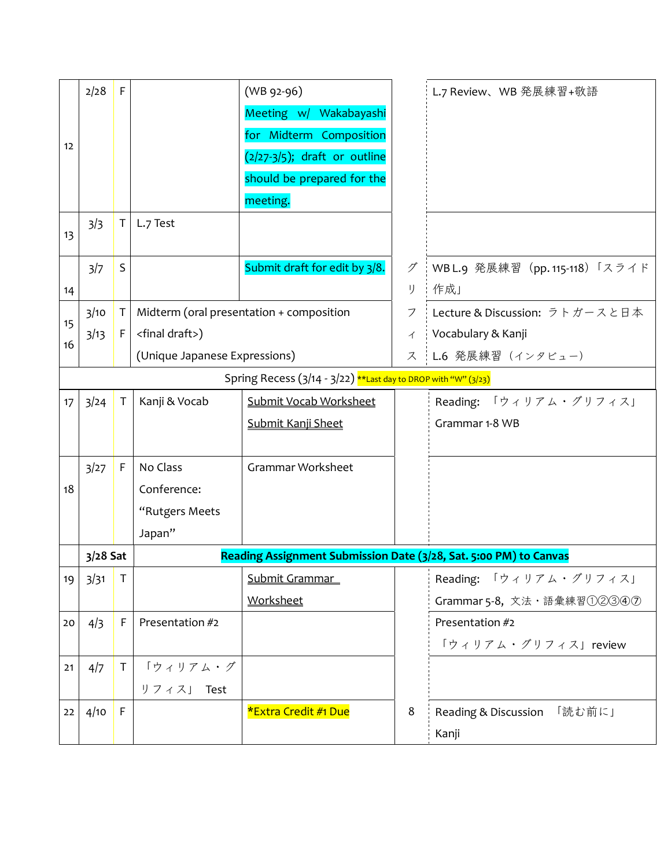|    | 2/28       | F            |                                                                   | $(WB 92-96)$                                                   |    | L.7 Review、WB 発展練習+敬語          |
|----|------------|--------------|-------------------------------------------------------------------|----------------------------------------------------------------|----|--------------------------------|
|    |            |              |                                                                   | Meeting w/ Wakabayashi                                         |    |                                |
| 12 |            |              |                                                                   | for Midterm Composition                                        |    |                                |
|    |            |              |                                                                   | $(2/27-3/5)$ ; draft or outline                                |    |                                |
|    |            |              |                                                                   | should be prepared for the                                     |    |                                |
|    |            |              |                                                                   | meeting.                                                       |    |                                |
| 13 | 3/3        | T.           | L.7 Test                                                          |                                                                |    |                                |
|    | 3/7        | $\mathsf S$  |                                                                   | Submit draft for edit by 3/8.                                  | グ  | WBL.9 発展練習 (pp. 115-118)「スライド  |
| 14 |            |              |                                                                   |                                                                | IJ | 作成」                            |
|    | 3/10       | T.           |                                                                   | Midterm (oral presentation + composition                       | フ  | Lecture & Discussion: ラトガースと日本 |
| 15 | 3/13       | F.           | <final draft="">)</final>                                         |                                                                | イ  | Vocabulary & Kanji             |
| 16 |            |              | (Unique Japanese Expressions)                                     |                                                                | ス  | L.6 発展練習 (インタビュー)              |
|    |            |              |                                                                   | Spring Recess (3/14 - 3/22) **Last day to DROP with "W" (3/23) |    |                                |
| 17 | 3/24       | $\mathsf{T}$ | Kanji & Vocab                                                     | Submit Vocab Worksheet                                         |    | Reading: 「ウィリアム・グリフィス」         |
|    |            |              |                                                                   | Submit Kanji Sheet                                             |    | Grammar 1-8 WB                 |
|    |            |              |                                                                   |                                                                |    |                                |
|    | 3/27       | $\mathsf F$  | No Class                                                          | Grammar Worksheet                                              |    |                                |
| 18 |            |              | Conference:                                                       |                                                                |    |                                |
|    |            |              | "Rutgers Meets                                                    |                                                                |    |                                |
|    |            |              | Japan"                                                            |                                                                |    |                                |
|    | $3/28$ Sat |              | Reading Assignment Submission Date (3/28, Sat. 5:00 PM) to Canvas |                                                                |    |                                |
| 19 | 3/31       | T            |                                                                   | Submit Grammar                                                 |    | Reading: 「ウィリアム・グリフィス」         |
|    |            |              |                                                                   | Worksheet                                                      |    | Grammar 5-8, 文法·語彙練習①22342     |
| 20 | 4/3        | F            | Presentation #2                                                   |                                                                |    | Presentation #2                |
|    |            |              |                                                                   |                                                                |    | 「ウィリアム・グリフィス」review            |
| 21 | 4/7        | $\mathsf T$  | 「ウィリアム・グ                                                          |                                                                |    |                                |
|    |            |              | リフィス」 Test                                                        |                                                                |    |                                |
| 22 | 4/10       | F            |                                                                   | *Extra Credit #1 Due                                           | 8  | Reading & Discussion 「読む前に」    |
|    |            |              |                                                                   |                                                                |    | Kanji                          |